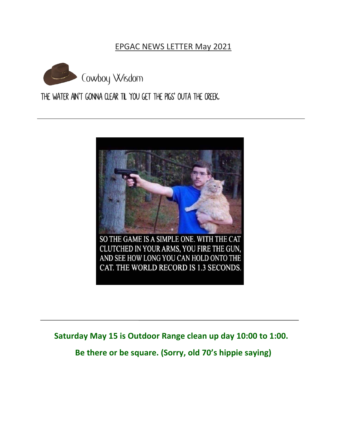#### EPGAC NEWS LETTER May 2021



# The water ain't gonna clear til you get the pigs' outa the creek.



**Saturday May 15 is Outdoor Range clean up day 10:00 to 1:00. Be there or be square. (Sorry, old 70's hippie saying)**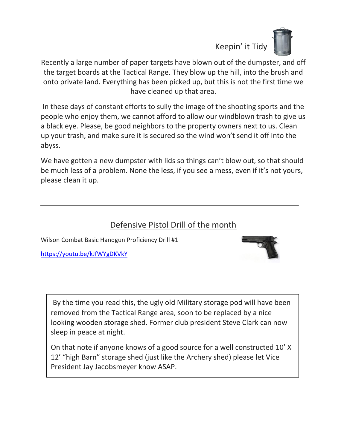

Recently a large number of paper targets have blown out of the dumpster, and off the target boards at the Tactical Range. They blow up the hill, into the brush and onto private land. Everything has been picked up, but this is not the first time we have cleaned up that area.

In these days of constant efforts to sully the image of the shooting sports and the people who enjoy them, we cannot afford to allow our windblown trash to give us a black eye. Please, be good neighbors to the property owners next to us. Clean up your trash, and make sure it is secured so the wind won't send it off into the abyss.

We have gotten a new dumpster with lids so things can't blow out, so that should be much less of a problem. None the less, if you see a mess, even if it's not yours, please clean it up.

### Defensive Pistol Drill of the month

Wilson Combat Basic Handgun Proficiency Drill #1

<https://youtu.be/kJfWYgDKVkY>



By the time you read this, the ugly old Military storage pod will have been removed from the Tactical Range area, soon to be replaced by a nice looking wooden storage shed. Former club president Steve Clark can now sleep in peace at night.

On that note if anyone knows of a good source for a well constructed 10' X 12' "high Barn" storage shed (just like the Archery shed) please let Vice President Jay Jacobsmeyer know ASAP.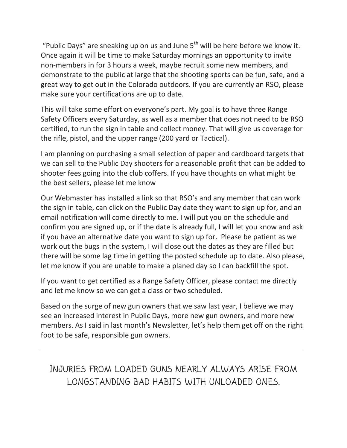"Public Days" are sneaking up on us and June  $5<sup>th</sup>$  will be here before we know it. Once again it will be time to make Saturday mornings an opportunity to invite non-members in for 3 hours a week, maybe recruit some new members, and demonstrate to the public at large that the shooting sports can be fun, safe, and a great way to get out in the Colorado outdoors. If you are currently an RSO, please make sure your certifications are up to date.

This will take some effort on everyone's part. My goal is to have three Range Safety Officers every Saturday, as well as a member that does not need to be RSO certified, to run the sign in table and collect money. That will give us coverage for the rifle, pistol, and the upper range (200 yard or Tactical).

I am planning on purchasing a small selection of paper and cardboard targets that we can sell to the Public Day shooters for a reasonable profit that can be added to shooter fees going into the club coffers. If you have thoughts on what might be the best sellers, please let me know

Our Webmaster has installed a link so that RSO's and any member that can work the sign in table, can click on the Public Day date they want to sign up for, and an email notification will come directly to me. I will put you on the schedule and confirm you are signed up, or if the date is already full, I will let you know and ask if you have an alternative date you want to sign up for. Please be patient as we work out the bugs in the system, I will close out the dates as they are filled but there will be some lag time in getting the posted schedule up to date. Also please, let me know if you are unable to make a planed day so I can backfill the spot.

If you want to get certified as a Range Safety Officer, please contact me directly and let me know so we can get a class or two scheduled.

Based on the surge of new gun owners that we saw last year, I believe we may see an increased interest in Public Days, more new gun owners, and more new members. As I said in last month's Newsletter, let's help them get off on the right foot to be safe, responsible gun owners.

INJURIES FROM LOADED GUNS NEARLY ALWAYS ARISE FROM LONGSTANDING BAD HABITS WITH UNLOADED ONES.